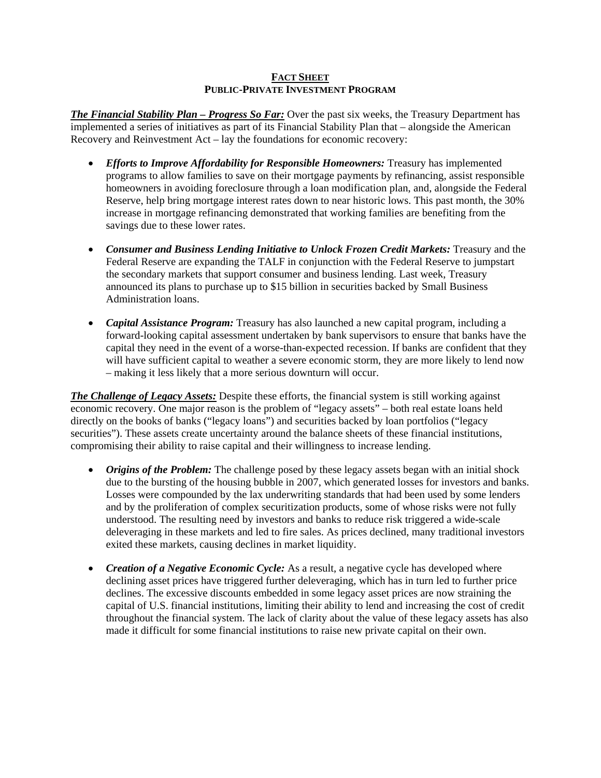## **FACT SHEET PUBLIC-PRIVATE INVESTMENT PROGRAM**

*The Financial Stability Plan – Progress So Far:* Over the past six weeks, the Treasury Department has implemented a series of initiatives as part of its Financial Stability Plan that – alongside the American Recovery and Reinvestment Act – lay the foundations for economic recovery:

- *Efforts to Improve Affordability for Responsible Homeowners:* Treasury has implemented programs to allow families to save on their mortgage payments by refinancing, assist responsible homeowners in avoiding foreclosure through a loan modification plan, and, alongside the Federal Reserve, help bring mortgage interest rates down to near historic lows. This past month, the 30% increase in mortgage refinancing demonstrated that working families are benefiting from the savings due to these lower rates.
- *Consumer and Business Lending Initiative to Unlock Frozen Credit Markets:* Treasury and the Federal Reserve are expanding the TALF in conjunction with the Federal Reserve to jumpstart the secondary markets that support consumer and business lending. Last week, Treasury announced its plans to purchase up to \$15 billion in securities backed by Small Business Administration loans.
- *Capital Assistance Program:* Treasury has also launched a new capital program, including a forward-looking capital assessment undertaken by bank supervisors to ensure that banks have the capital they need in the event of a worse-than-expected recession. If banks are confident that they will have sufficient capital to weather a severe economic storm, they are more likely to lend now – making it less likely that a more serious downturn will occur.

*The Challenge of Legacy Assets:* Despite these efforts, the financial system is still working against economic recovery. One major reason is the problem of "legacy assets" – both real estate loans held directly on the books of banks ("legacy loans") and securities backed by loan portfolios ("legacy securities"). These assets create uncertainty around the balance sheets of these financial institutions, compromising their ability to raise capital and their willingness to increase lending.

- *Origins of the Problem:* The challenge posed by these legacy assets began with an initial shock due to the bursting of the housing bubble in 2007, which generated losses for investors and banks. Losses were compounded by the lax underwriting standards that had been used by some lenders and by the proliferation of complex securitization products, some of whose risks were not fully understood. The resulting need by investors and banks to reduce risk triggered a wide-scale deleveraging in these markets and led to fire sales. As prices declined, many traditional investors exited these markets, causing declines in market liquidity.
- *Creation of a Negative Economic Cycle:* As a result, a negative cycle has developed where declining asset prices have triggered further deleveraging, which has in turn led to further price declines. The excessive discounts embedded in some legacy asset prices are now straining the capital of U.S. financial institutions, limiting their ability to lend and increasing the cost of credit throughout the financial system. The lack of clarity about the value of these legacy assets has also made it difficult for some financial institutions to raise new private capital on their own.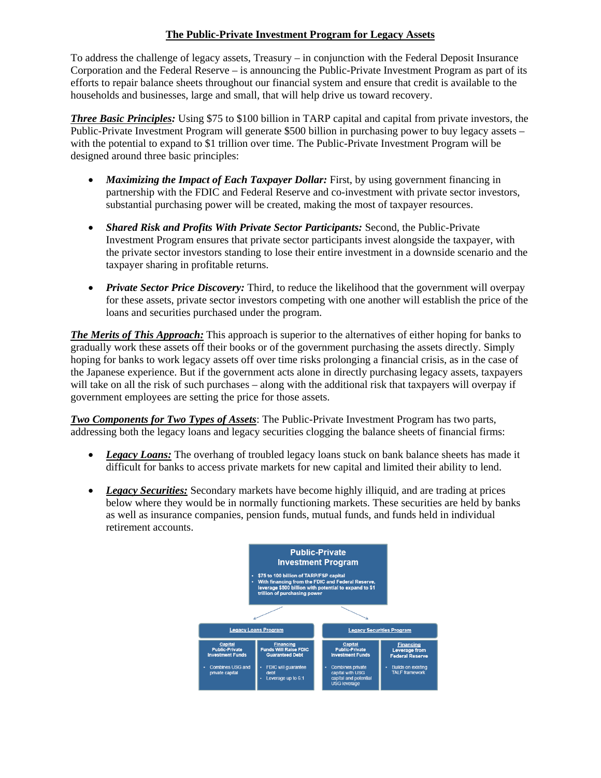## **The Public-Private Investment Program for Legacy Assets**

To address the challenge of legacy assets, Treasury – in conjunction with the Federal Deposit Insurance Corporation and the Federal Reserve – is announcing the Public-Private Investment Program as part of its efforts to repair balance sheets throughout our financial system and ensure that credit is available to the households and businesses, large and small, that will help drive us toward recovery.

*Three Basic Principles:* Using \$75 to \$100 billion in TARP capital and capital from private investors, the Public-Private Investment Program will generate \$500 billion in purchasing power to buy legacy assets – with the potential to expand to \$1 trillion over time. The Public-Private Investment Program will be designed around three basic principles:

- *Maximizing the Impact of Each Taxpayer Dollar:* First, by using government financing in partnership with the FDIC and Federal Reserve and co-investment with private sector investors, substantial purchasing power will be created, making the most of taxpayer resources.
- *Shared Risk and Profits With Private Sector Participants:* Second, the Public-Private Investment Program ensures that private sector participants invest alongside the taxpayer, with the private sector investors standing to lose their entire investment in a downside scenario and the taxpayer sharing in profitable returns.
- *Private Sector Price Discovery:* Third, to reduce the likelihood that the government will overpay for these assets, private sector investors competing with one another will establish the price of the loans and securities purchased under the program.

*The Merits of This Approach:* This approach is superior to the alternatives of either hoping for banks to gradually work these assets off their books or of the government purchasing the assets directly. Simply hoping for banks to work legacy assets off over time risks prolonging a financial crisis, as in the case of the Japanese experience. But if the government acts alone in directly purchasing legacy assets, taxpayers will take on all the risk of such purchases – along with the additional risk that taxpayers will overpay if government employees are setting the price for those assets.

*Two Components for Two Types of Assets*: The Public-Private Investment Program has two parts, addressing both the legacy loans and legacy securities clogging the balance sheets of financial firms:

- *Legacy Loans:* The overhang of troubled legacy loans stuck on bank balance sheets has made it difficult for banks to access private markets for new capital and limited their ability to lend.
- *Legacy Securities:* Secondary markets have become highly illiquid, and are trading at prices below where they would be in normally functioning markets. These securities are held by banks as well as insurance companies, pension funds, mutual funds, and funds held in individual retirement accounts.

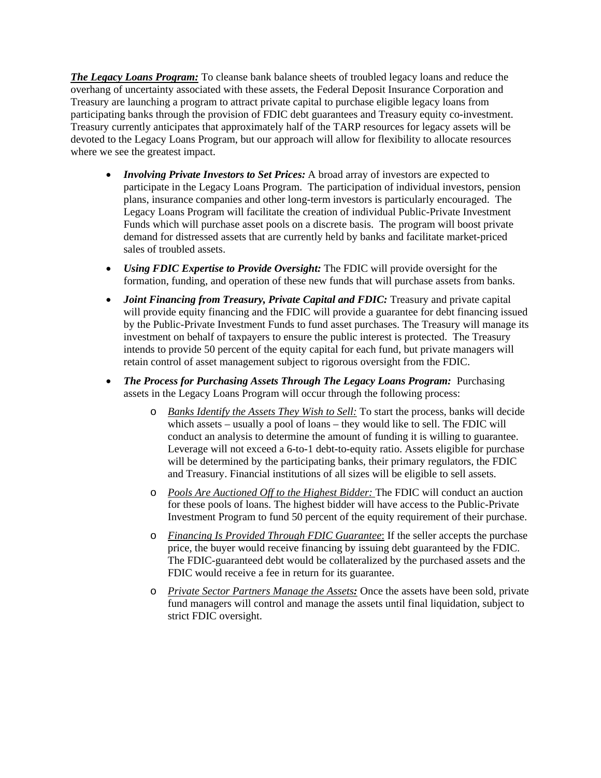*The Legacy Loans Program:* To cleanse bank balance sheets of troubled legacy loans and reduce the overhang of uncertainty associated with these assets, the Federal Deposit Insurance Corporation and Treasury are launching a program to attract private capital to purchase eligible legacy loans from participating banks through the provision of FDIC debt guarantees and Treasury equity co-investment. Treasury currently anticipates that approximately half of the TARP resources for legacy assets will be devoted to the Legacy Loans Program, but our approach will allow for flexibility to allocate resources where we see the greatest impact.

- *Involving Private Investors to Set Prices:* A broad array of investors are expected to participate in the Legacy Loans Program. The participation of individual investors, pension plans, insurance companies and other long-term investors is particularly encouraged. The Legacy Loans Program will facilitate the creation of individual Public-Private Investment Funds which will purchase asset pools on a discrete basis. The program will boost private demand for distressed assets that are currently held by banks and facilitate market-priced sales of troubled assets.
- *Using FDIC Expertise to Provide Oversight:* The FDIC will provide oversight for the formation, funding, and operation of these new funds that will purchase assets from banks.
- *Joint Financing from Treasury, Private Capital and FDIC:* Treasury and private capital will provide equity financing and the FDIC will provide a guarantee for debt financing issued by the Public-Private Investment Funds to fund asset purchases. The Treasury will manage its investment on behalf of taxpayers to ensure the public interest is protected. The Treasury intends to provide 50 percent of the equity capital for each fund, but private managers will retain control of asset management subject to rigorous oversight from the FDIC.
- *The Process for Purchasing Assets Through The Legacy Loans Program:* Purchasing assets in the Legacy Loans Program will occur through the following process:
	- o *Banks Identify the Assets They Wish to Sell:* To start the process, banks will decide which assets – usually a pool of loans – they would like to sell. The FDIC will conduct an analysis to determine the amount of funding it is willing to guarantee. Leverage will not exceed a 6-to-1 debt-to-equity ratio. Assets eligible for purchase will be determined by the participating banks, their primary regulators, the FDIC and Treasury. Financial institutions of all sizes will be eligible to sell assets.
	- o *Pools Are Auctioned Off to the Highest Bidder:* The FDIC will conduct an auction for these pools of loans. The highest bidder will have access to the Public-Private Investment Program to fund 50 percent of the equity requirement of their purchase.
	- o *Financing Is Provided Through FDIC Guarantee*: If the seller accepts the purchase price, the buyer would receive financing by issuing debt guaranteed by the FDIC. The FDIC-guaranteed debt would be collateralized by the purchased assets and the FDIC would receive a fee in return for its guarantee.
	- o *Private Sector Partners Manage the Assets:* Once the assets have been sold, private fund managers will control and manage the assets until final liquidation, subject to strict FDIC oversight.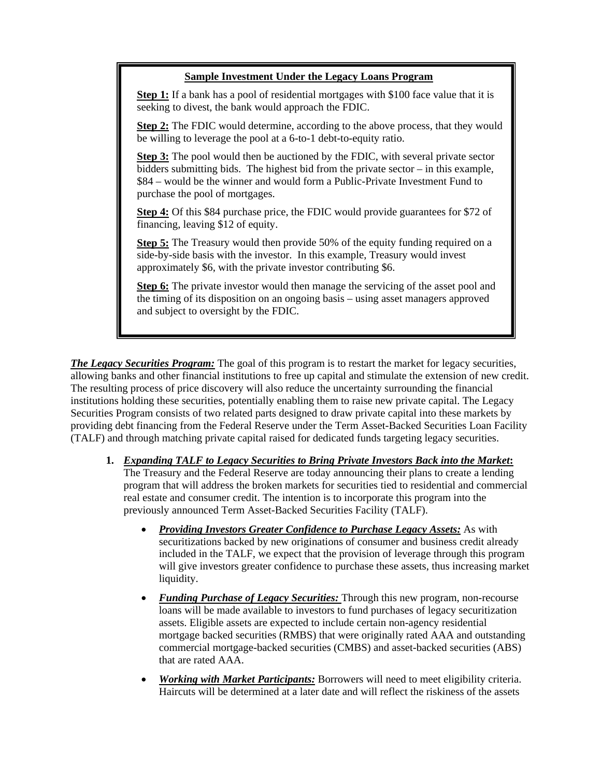## **Sample Investment Under the Legacy Loans Program**

**Step 1:** If a bank has a pool of residential mortgages with \$100 face value that it is seeking to divest, the bank would approach the FDIC.

**Step 2:** The FDIC would determine, according to the above process, that they would be willing to leverage the pool at a 6-to-1 debt-to-equity ratio.

**Step 3:** The pool would then be auctioned by the FDIC, with several private sector bidders submitting bids. The highest bid from the private sector – in this example, \$84 – would be the winner and would form a Public-Private Investment Fund to purchase the pool of mortgages.

**Step 4:** Of this \$84 purchase price, the FDIC would provide guarantees for \$72 of financing, leaving \$12 of equity.

**Step 5:** The Treasury would then provide 50% of the equity funding required on a side-by-side basis with the investor. In this example, Treasury would invest approximately \$6, with the private investor contributing \$6.

**Step 6:** The private investor would then manage the servicing of the asset pool and the timing of its disposition on an ongoing basis – using asset managers approved and subject to oversight by the FDIC.

*The Legacy Securities Program:* The goal of this program is to restart the market for legacy securities, allowing banks and other financial institutions to free up capital and stimulate the extension of new credit. The resulting process of price discovery will also reduce the uncertainty surrounding the financial institutions holding these securities, potentially enabling them to raise new private capital. The Legacy Securities Program consists of two related parts designed to draw private capital into these markets by providing debt financing from the Federal Reserve under the Term Asset-Backed Securities Loan Facility (TALF) and through matching private capital raised for dedicated funds targeting legacy securities.

- **1.** *Expanding TALF to Legacy Securities to Bring Private Investors Back into the Market***:** The Treasury and the Federal Reserve are today announcing their plans to create a lending program that will address the broken markets for securities tied to residential and commercial real estate and consumer credit. The intention is to incorporate this program into the previously announced Term Asset-Backed Securities Facility (TALF).
	- *Providing Investors Greater Confidence to Purchase Legacy Assets:* As with securitizations backed by new originations of consumer and business credit already included in the TALF, we expect that the provision of leverage through this program will give investors greater confidence to purchase these assets, thus increasing market liquidity.
	- *Funding Purchase of Legacy Securities:* Through this new program, non-recourse loans will be made available to investors to fund purchases of legacy securitization assets. Eligible assets are expected to include certain non-agency residential mortgage backed securities (RMBS) that were originally rated AAA and outstanding commercial mortgage-backed securities (CMBS) and asset-backed securities (ABS) that are rated AAA.
	- *Working with Market Participants:* Borrowers will need to meet eligibility criteria. Haircuts will be determined at a later date and will reflect the riskiness of the assets